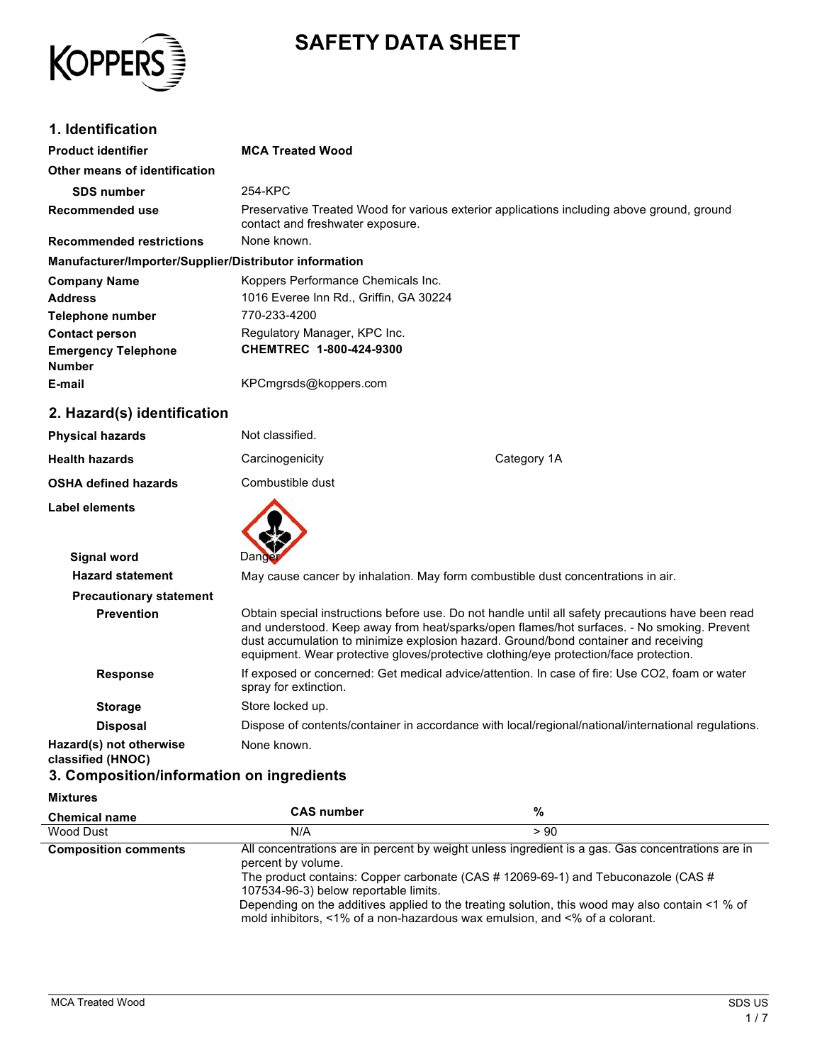

# **SAFETY DATA SHEET**

### **1. Identification**

| <b>Product identifier</b>                              | <b>MCA Treated Wood</b>                                                                                                        |
|--------------------------------------------------------|--------------------------------------------------------------------------------------------------------------------------------|
| Other means of identification                          |                                                                                                                                |
| <b>SDS number</b>                                      | 254-KPC                                                                                                                        |
| Recommended use                                        | Preservative Treated Wood for various exterior applications including above ground, ground<br>contact and freshwater exposure. |
| <b>Recommended restrictions</b>                        | None known.                                                                                                                    |
| Manufacturer/Importer/Supplier/Distributor information |                                                                                                                                |
| <b>Company Name</b>                                    | Koppers Performance Chemicals Inc.                                                                                             |
| Address                                                | 1016 Everee Inn Rd., Griffin, GA 30224                                                                                         |
| Telephone number                                       | 770-233-4200                                                                                                                   |
| <b>Contact person</b>                                  | Regulatory Manager, KPC Inc.                                                                                                   |
| <b>Emergency Telephone</b><br>Number                   | CHEMTREC 1-800-424-9300                                                                                                        |
| E-mail                                                 | KPCmgrsds@koppers.com                                                                                                          |
| 2 Hazard/e) idontification                             |                                                                                                                                |

#### **2. Hazard(s) identification**

| ----------------               |                       |                                                                                                                                                                                                                                                                                                                                                                                 |
|--------------------------------|-----------------------|---------------------------------------------------------------------------------------------------------------------------------------------------------------------------------------------------------------------------------------------------------------------------------------------------------------------------------------------------------------------------------|
| <b>Physical hazards</b>        | Not classified.       |                                                                                                                                                                                                                                                                                                                                                                                 |
| <b>Health hazards</b>          | Carcinogenicity       | Category 1A                                                                                                                                                                                                                                                                                                                                                                     |
| <b>OSHA defined hazards</b>    | Combustible dust      |                                                                                                                                                                                                                                                                                                                                                                                 |
| Label elements                 |                       |                                                                                                                                                                                                                                                                                                                                                                                 |
| <b>Signal word</b>             | Dand                  |                                                                                                                                                                                                                                                                                                                                                                                 |
| <b>Hazard statement</b>        |                       | May cause cancer by inhalation. May form combustible dust concentrations in air.                                                                                                                                                                                                                                                                                                |
| <b>Precautionary statement</b> |                       |                                                                                                                                                                                                                                                                                                                                                                                 |
| <b>Prevention</b>              |                       | Obtain special instructions before use. Do not handle until all safety precautions have been read<br>and understood. Keep away from heat/sparks/open flames/hot surfaces. - No smoking. Prevent<br>dust accumulation to minimize explosion hazard. Ground/bond container and receiving<br>equipment. Wear protective gloves/protective clothing/eye protection/face protection. |
| <b>Response</b>                | spray for extinction. | If exposed or concerned: Get medical advice/attention. In case of fire: Use CO2, foam or water                                                                                                                                                                                                                                                                                  |
| <b>Storage</b>                 | Store locked up.      |                                                                                                                                                                                                                                                                                                                                                                                 |
| <b>Disposal</b>                |                       | Dispose of contents/container in accordance with local/regional/national/international regulations.                                                                                                                                                                                                                                                                             |
| Hazard(s) not otherwise        | None known.           |                                                                                                                                                                                                                                                                                                                                                                                 |

**Hazard(s) not otherwise classified (HNOC)**

#### **3. Composition/information on ingredients**

### **Mixtures**

| <b>Chemical name</b>        | <b>CAS number</b>                                           | %                                                                                                                                                                                                                                                                                                                                                                       |
|-----------------------------|-------------------------------------------------------------|-------------------------------------------------------------------------------------------------------------------------------------------------------------------------------------------------------------------------------------------------------------------------------------------------------------------------------------------------------------------------|
| Wood Dust                   | N/A                                                         | > 90                                                                                                                                                                                                                                                                                                                                                                    |
| <b>Composition comments</b> | percent by volume.<br>107534-96-3) below reportable limits. | All concentrations are in percent by weight unless ingredient is a gas. Gas concentrations are in<br>The product contains: Copper carbonate (CAS #12069-69-1) and Tebuconazole (CAS #<br>Depending on the additives applied to the treating solution, this wood may also contain <1 % of<br>mold inhibitors, <1% of a non-hazardous wax emulsion, and <% of a colorant. |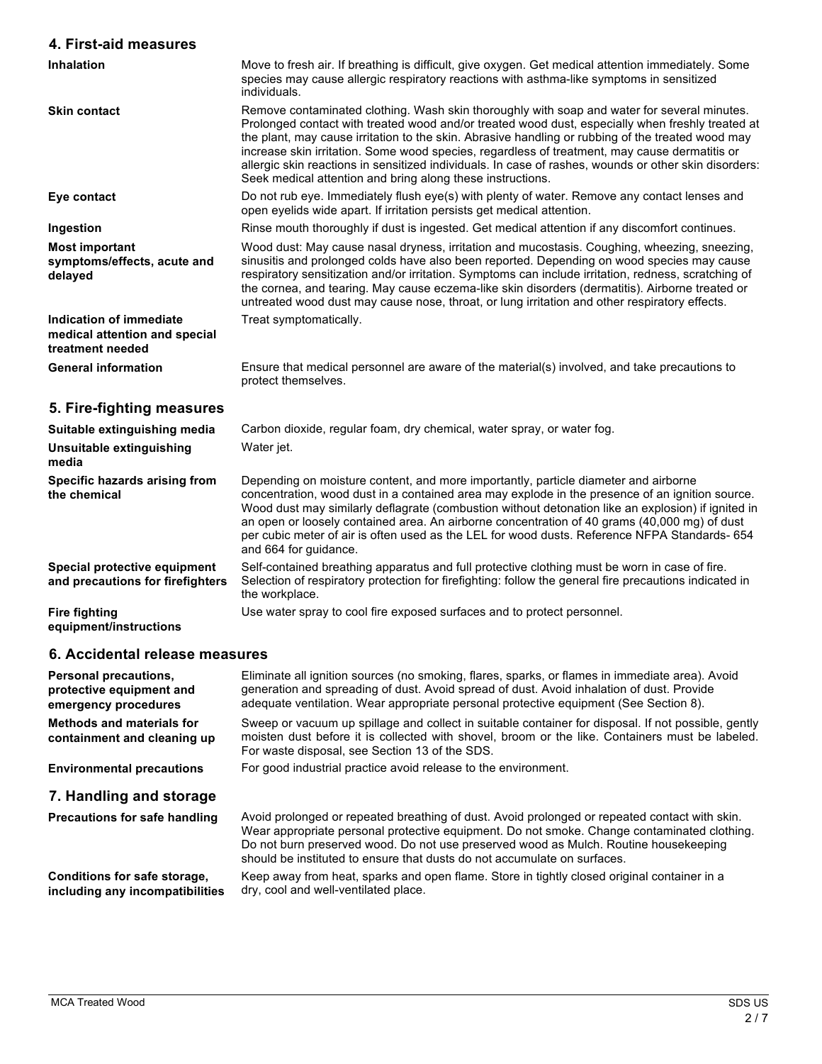# **4. First-aid measures**

| 4. First-aid measures                                                        |                                                                                                                                                                                                                                                                                                                                                                                                                                                                                                                                                                              |
|------------------------------------------------------------------------------|------------------------------------------------------------------------------------------------------------------------------------------------------------------------------------------------------------------------------------------------------------------------------------------------------------------------------------------------------------------------------------------------------------------------------------------------------------------------------------------------------------------------------------------------------------------------------|
| <b>Inhalation</b>                                                            | Move to fresh air. If breathing is difficult, give oxygen. Get medical attention immediately. Some<br>species may cause allergic respiratory reactions with asthma-like symptoms in sensitized<br>individuals.                                                                                                                                                                                                                                                                                                                                                               |
| <b>Skin contact</b>                                                          | Remove contaminated clothing. Wash skin thoroughly with soap and water for several minutes.<br>Prolonged contact with treated wood and/or treated wood dust, especially when freshly treated at<br>the plant, may cause irritation to the skin. Abrasive handling or rubbing of the treated wood may<br>increase skin irritation. Some wood species, regardless of treatment, may cause dermatitis or<br>allergic skin reactions in sensitized individuals. In case of rashes, wounds or other skin disorders:<br>Seek medical attention and bring along these instructions. |
| Eye contact                                                                  | Do not rub eye. Immediately flush eye(s) with plenty of water. Remove any contact lenses and<br>open eyelids wide apart. If irritation persists get medical attention.                                                                                                                                                                                                                                                                                                                                                                                                       |
| Ingestion                                                                    | Rinse mouth thoroughly if dust is ingested. Get medical attention if any discomfort continues.                                                                                                                                                                                                                                                                                                                                                                                                                                                                               |
| <b>Most important</b><br>symptoms/effects, acute and<br>delayed              | Wood dust: May cause nasal dryness, irritation and mucostasis. Coughing, wheezing, sneezing,<br>sinusitis and prolonged colds have also been reported. Depending on wood species may cause<br>respiratory sensitization and/or irritation. Symptoms can include irritation, redness, scratching of<br>the cornea, and tearing. May cause eczema-like skin disorders (dermatitis). Airborne treated or<br>untreated wood dust may cause nose, throat, or lung irritation and other respiratory effects.                                                                       |
| Indication of immediate<br>medical attention and special<br>treatment needed | Treat symptomatically.                                                                                                                                                                                                                                                                                                                                                                                                                                                                                                                                                       |
| <b>General information</b>                                                   | Ensure that medical personnel are aware of the material(s) involved, and take precautions to<br>protect themselves.                                                                                                                                                                                                                                                                                                                                                                                                                                                          |
| 5. Fire-fighting measures                                                    |                                                                                                                                                                                                                                                                                                                                                                                                                                                                                                                                                                              |
| Suitable extinguishing media                                                 | Carbon dioxide, regular foam, dry chemical, water spray, or water fog.                                                                                                                                                                                                                                                                                                                                                                                                                                                                                                       |
| <b>Unsuitable extinguishing</b><br>media                                     | Water jet.                                                                                                                                                                                                                                                                                                                                                                                                                                                                                                                                                                   |
| Specific hazards arising from<br>the chemical                                | Depending on moisture content, and more importantly, particle diameter and airborne<br>concentration, wood dust in a contained area may explode in the presence of an ignition source.<br>Wood dust may similarly deflagrate (combustion without detonation like an explosion) if ignited in<br>an open or loosely contained area. An airborne concentration of 40 grams (40,000 mg) of dust<br>per cubic meter of air is often used as the LEL for wood dusts. Reference NFPA Standards- 654<br>and 664 for quidance.                                                       |
| Special protective equipment<br>and precautions for firefighters             | Self-contained breathing apparatus and full protective clothing must be worn in case of fire.<br>Selection of respiratory protection for firefighting: follow the general fire precautions indicated in<br>the workplace.                                                                                                                                                                                                                                                                                                                                                    |
| <b>Fire fighting</b><br>equipment/instructions                               | Use water spray to cool fire exposed surfaces and to protect personnel.                                                                                                                                                                                                                                                                                                                                                                                                                                                                                                      |

# **6. Accidental release measures**

| Personal precautions,<br>protective equipment and<br>emergency procedures | Eliminate all ignition sources (no smoking, flares, sparks, or flames in immediate area). Avoid<br>generation and spreading of dust. Avoid spread of dust. Avoid inhalation of dust. Provide<br>adequate ventilation. Wear appropriate personal protective equipment (See Section 8).                                                                            |
|---------------------------------------------------------------------------|------------------------------------------------------------------------------------------------------------------------------------------------------------------------------------------------------------------------------------------------------------------------------------------------------------------------------------------------------------------|
| <b>Methods and materials for</b><br>containment and cleaning up           | Sweep or vacuum up spillage and collect in suitable container for disposal. If not possible, gently<br>moisten dust before it is collected with shovel, broom or the like. Containers must be labeled.<br>For waste disposal, see Section 13 of the SDS.                                                                                                         |
| <b>Environmental precautions</b>                                          | For good industrial practice avoid release to the environment.                                                                                                                                                                                                                                                                                                   |
| 7. Handling and storage                                                   |                                                                                                                                                                                                                                                                                                                                                                  |
| <b>Precautions for safe handling</b>                                      | Avoid prolonged or repeated breathing of dust. Avoid prolonged or repeated contact with skin.<br>Wear appropriate personal protective equipment. Do not smoke. Change contaminated clothing.<br>Do not burn preserved wood. Do not use preserved wood as Mulch. Routine housekeeping<br>should be instituted to ensure that dusts do not accumulate on surfaces. |
| Conditions for safe storage,<br>including any incompatibilities           | Keep away from heat, sparks and open flame. Store in tightly closed original container in a<br>dry, cool and well-ventilated place.                                                                                                                                                                                                                              |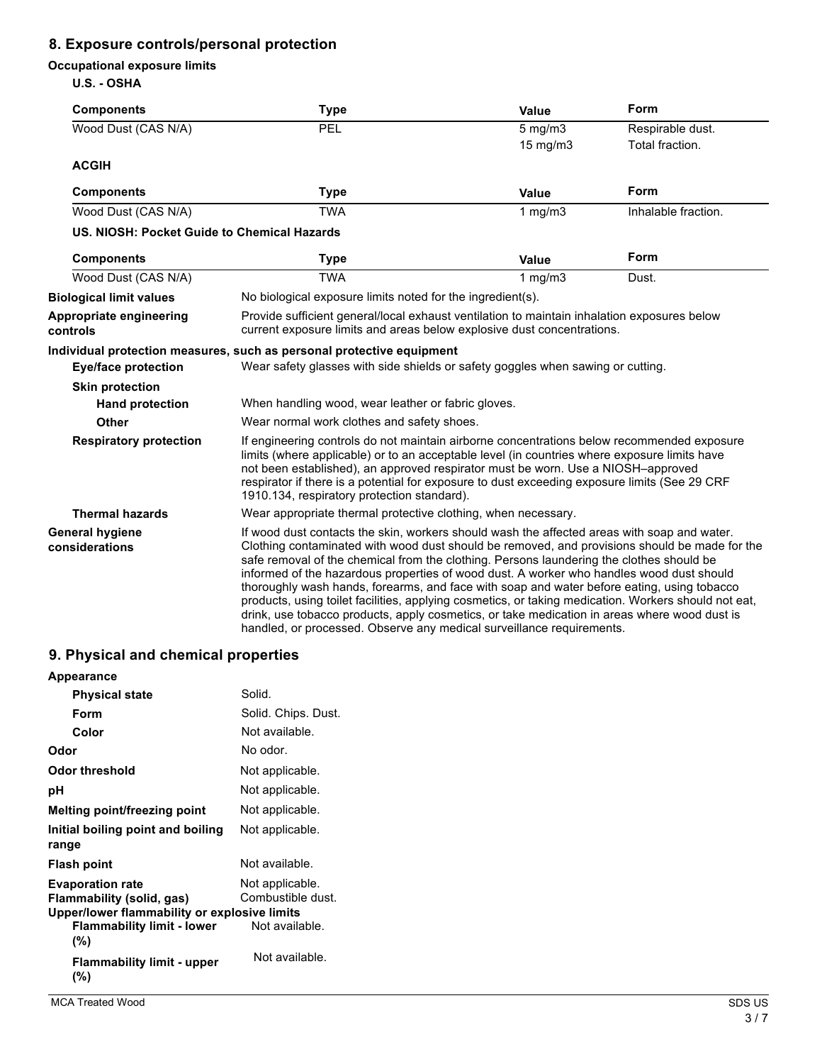### **8. Exposure controls/personal protection**

#### **Occupational exposure limits**

**U.S. - OSHA**

| <b>Components</b>                           | <b>Type</b>                                                                                                                                                                                                                                                                                                                                                                                                                                                                                                                                                                                                                                                                                                                                                         | Value        | Form                |
|---------------------------------------------|---------------------------------------------------------------------------------------------------------------------------------------------------------------------------------------------------------------------------------------------------------------------------------------------------------------------------------------------------------------------------------------------------------------------------------------------------------------------------------------------------------------------------------------------------------------------------------------------------------------------------------------------------------------------------------------------------------------------------------------------------------------------|--------------|---------------------|
| Wood Dust (CAS N/A)                         | PEL                                                                                                                                                                                                                                                                                                                                                                                                                                                                                                                                                                                                                                                                                                                                                                 | $5$ mg/m $3$ | Respirable dust.    |
|                                             |                                                                                                                                                                                                                                                                                                                                                                                                                                                                                                                                                                                                                                                                                                                                                                     | 15 mg/m3     | Total fraction.     |
| <b>ACGIH</b>                                |                                                                                                                                                                                                                                                                                                                                                                                                                                                                                                                                                                                                                                                                                                                                                                     |              |                     |
| <b>Components</b>                           | <b>Type</b>                                                                                                                                                                                                                                                                                                                                                                                                                                                                                                                                                                                                                                                                                                                                                         | Value        | Form                |
| Wood Dust (CAS N/A)                         | <b>TWA</b>                                                                                                                                                                                                                                                                                                                                                                                                                                                                                                                                                                                                                                                                                                                                                          | 1 $mg/m3$    | Inhalable fraction. |
| US. NIOSH: Pocket Guide to Chemical Hazards |                                                                                                                                                                                                                                                                                                                                                                                                                                                                                                                                                                                                                                                                                                                                                                     |              |                     |
| <b>Components</b>                           | <b>Type</b>                                                                                                                                                                                                                                                                                                                                                                                                                                                                                                                                                                                                                                                                                                                                                         | Value        | Form                |
| Wood Dust (CAS N/A)                         | <b>TWA</b>                                                                                                                                                                                                                                                                                                                                                                                                                                                                                                                                                                                                                                                                                                                                                          | $1$ mg/m $3$ | Dust.               |
| <b>Biological limit values</b>              | No biological exposure limits noted for the ingredient(s).                                                                                                                                                                                                                                                                                                                                                                                                                                                                                                                                                                                                                                                                                                          |              |                     |
| Appropriate engineering<br>controls         | Provide sufficient general/local exhaust ventilation to maintain inhalation exposures below<br>current exposure limits and areas below explosive dust concentrations.                                                                                                                                                                                                                                                                                                                                                                                                                                                                                                                                                                                               |              |                     |
|                                             | Individual protection measures, such as personal protective equipment                                                                                                                                                                                                                                                                                                                                                                                                                                                                                                                                                                                                                                                                                               |              |                     |
| <b>Eye/face protection</b>                  | Wear safety glasses with side shields or safety goggles when sawing or cutting.                                                                                                                                                                                                                                                                                                                                                                                                                                                                                                                                                                                                                                                                                     |              |                     |
| <b>Skin protection</b>                      |                                                                                                                                                                                                                                                                                                                                                                                                                                                                                                                                                                                                                                                                                                                                                                     |              |                     |
| <b>Hand protection</b>                      | When handling wood, wear leather or fabric gloves.                                                                                                                                                                                                                                                                                                                                                                                                                                                                                                                                                                                                                                                                                                                  |              |                     |
| Other                                       | Wear normal work clothes and safety shoes.                                                                                                                                                                                                                                                                                                                                                                                                                                                                                                                                                                                                                                                                                                                          |              |                     |
| <b>Respiratory protection</b>               | If engineering controls do not maintain airborne concentrations below recommended exposure<br>limits (where applicable) or to an acceptable level (in countries where exposure limits have<br>not been established), an approved respirator must be worn. Use a NIOSH-approved<br>respirator if there is a potential for exposure to dust exceeding exposure limits (See 29 CRF)<br>1910.134, respiratory protection standard).                                                                                                                                                                                                                                                                                                                                     |              |                     |
| <b>Thermal hazards</b>                      | Wear appropriate thermal protective clothing, when necessary.                                                                                                                                                                                                                                                                                                                                                                                                                                                                                                                                                                                                                                                                                                       |              |                     |
| <b>General hygiene</b><br>considerations    | If wood dust contacts the skin, workers should wash the affected areas with soap and water.<br>Clothing contaminated with wood dust should be removed, and provisions should be made for the<br>safe removal of the chemical from the clothing. Persons laundering the clothes should be<br>informed of the hazardous properties of wood dust. A worker who handles wood dust should<br>thoroughly wash hands, forearms, and face with soap and water before eating, using tobacco<br>products, using toilet facilities, applying cosmetics, or taking medication. Workers should not eat,<br>drink, use tobacco products, apply cosmetics, or take medication in areas where wood dust is<br>handled, or processed. Observe any medical surveillance requirements. |              |                     |

# **9. Physical and chemical properties**

| Appearance                                                                                                                                       |                                                        |
|--------------------------------------------------------------------------------------------------------------------------------------------------|--------------------------------------------------------|
| <b>Physical state</b>                                                                                                                            | Solid.                                                 |
| Form                                                                                                                                             | Solid. Chips. Dust.                                    |
| Color                                                                                                                                            | Not available.                                         |
| Odor                                                                                                                                             | No odor.                                               |
| Odor threshold                                                                                                                                   | Not applicable.                                        |
| рH                                                                                                                                               | Not applicable.                                        |
| Melting point/freezing point                                                                                                                     | Not applicable.                                        |
| Initial boiling point and boiling<br>range                                                                                                       | Not applicable.                                        |
| <b>Flash point</b>                                                                                                                               | Not available.                                         |
| <b>Evaporation rate</b><br>Flammability (solid, gas)<br>Upper/lower flammability or explosive limits<br><b>Flammability limit - lower</b><br>(%) | Not applicable.<br>Combustible dust.<br>Not available. |
| <b>Flammability limit - upper</b><br>(%)                                                                                                         | Not available.                                         |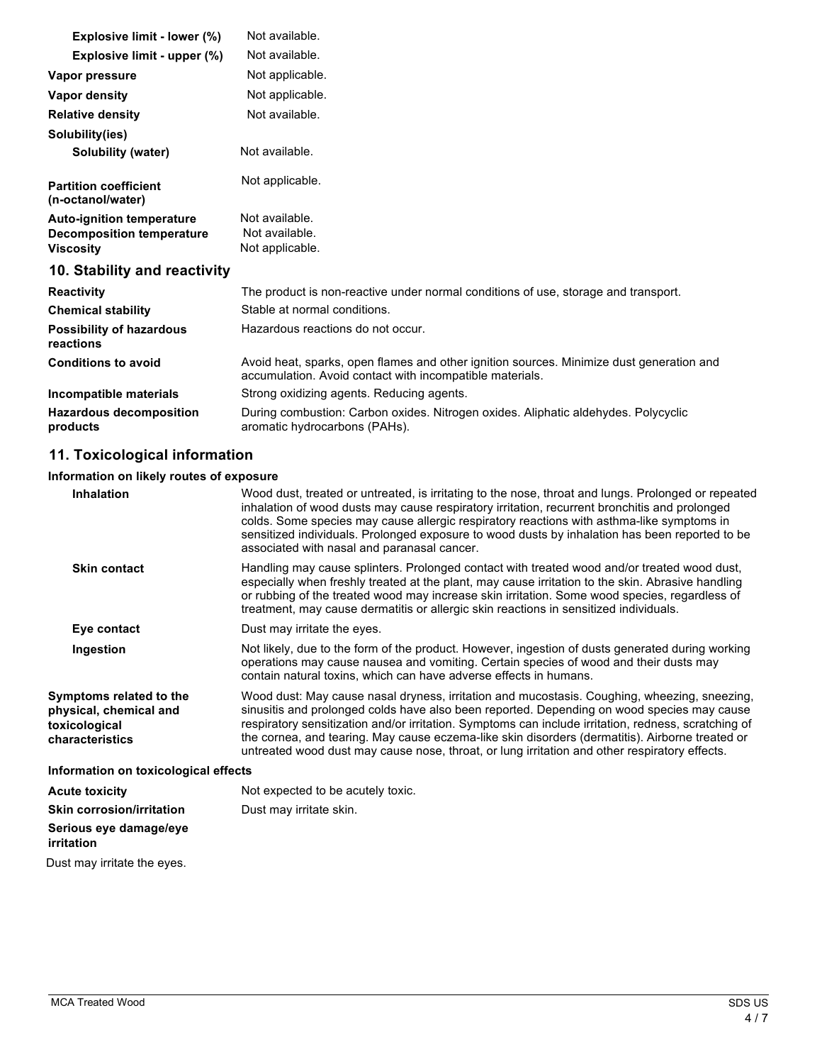| Explosive limit - lower (%)                                                              | Not available.                                                                                                                                       |
|------------------------------------------------------------------------------------------|------------------------------------------------------------------------------------------------------------------------------------------------------|
| Explosive limit - upper (%)                                                              | Not available.                                                                                                                                       |
| Vapor pressure                                                                           | Not applicable.                                                                                                                                      |
| Vapor density                                                                            | Not applicable.                                                                                                                                      |
| <b>Relative density</b>                                                                  | Not available.                                                                                                                                       |
| Solubility(ies)                                                                          |                                                                                                                                                      |
| Solubility (water)                                                                       | Not available.                                                                                                                                       |
| <b>Partition coefficient</b><br>(n-octanol/water)                                        | Not applicable.                                                                                                                                      |
| <b>Auto-ignition temperature</b><br><b>Decomposition temperature</b><br><b>Viscosity</b> | Not available.<br>Not available.<br>Not applicable.                                                                                                  |
| 10. Stability and reactivity                                                             |                                                                                                                                                      |
| <b>Reactivity</b>                                                                        | The product is non-reactive under normal conditions of use, storage and transport.                                                                   |
| <b>Chemical stability</b>                                                                | Stable at normal conditions.                                                                                                                         |
| <b>Possibility of hazardous</b><br>reactions                                             | Hazardous reactions do not occur.                                                                                                                    |
| <b>Conditions to avoid</b>                                                               | Avoid heat, sparks, open flames and other ignition sources. Minimize dust generation and<br>accumulation. Avoid contact with incompatible materials. |
| Incompatible materials                                                                   | Strong oxidizing agents. Reducing agents.                                                                                                            |
| <b>Hazardous decomposition</b><br>products                                               | During combustion: Carbon oxides. Nitrogen oxides. Aliphatic aldehydes. Polycyclic<br>aromatic hydrocarbons (PAHs).                                  |

# **11. Toxicological information**

### **Information on likely routes of exposure**

| <b>Inhalation</b>                                                                     | Wood dust, treated or untreated, is irritating to the nose, throat and lungs. Prolonged or repeated<br>inhalation of wood dusts may cause respiratory irritation, recurrent bronchitis and prolonged<br>colds. Some species may cause allergic respiratory reactions with asthma-like symptoms in<br>sensitized individuals. Prolonged exposure to wood dusts by inhalation has been reported to be<br>associated with nasal and paranasal cancer.                                                     |  |
|---------------------------------------------------------------------------------------|--------------------------------------------------------------------------------------------------------------------------------------------------------------------------------------------------------------------------------------------------------------------------------------------------------------------------------------------------------------------------------------------------------------------------------------------------------------------------------------------------------|--|
| <b>Skin contact</b>                                                                   | Handling may cause splinters. Prolonged contact with treated wood and/or treated wood dust,<br>especially when freshly treated at the plant, may cause irritation to the skin. Abrasive handling<br>or rubbing of the treated wood may increase skin irritation. Some wood species, regardless of<br>treatment, may cause dermatitis or allergic skin reactions in sensitized individuals.                                                                                                             |  |
| Eye contact                                                                           | Dust may irritate the eyes.                                                                                                                                                                                                                                                                                                                                                                                                                                                                            |  |
| Ingestion                                                                             | Not likely, due to the form of the product. However, ingestion of dusts generated during working<br>operations may cause nausea and vomiting. Certain species of wood and their dusts may<br>contain natural toxins, which can have adverse effects in humans.                                                                                                                                                                                                                                         |  |
| Symptoms related to the<br>physical, chemical and<br>toxicological<br>characteristics | Wood dust: May cause nasal dryness, irritation and mucostasis. Coughing, wheezing, sneezing,<br>sinusitis and prolonged colds have also been reported. Depending on wood species may cause<br>respiratory sensitization and/or irritation. Symptoms can include irritation, redness, scratching of<br>the cornea, and tearing. May cause eczema-like skin disorders (dermatitis). Airborne treated or<br>untreated wood dust may cause nose, throat, or lung irritation and other respiratory effects. |  |
| Information on toxicological effects                                                  |                                                                                                                                                                                                                                                                                                                                                                                                                                                                                                        |  |
| <b>Acute toxicity</b>                                                                 | Not expected to be acutely toxic.                                                                                                                                                                                                                                                                                                                                                                                                                                                                      |  |
| Skin corrosion/irritation                                                             | Dust may irritate skin.                                                                                                                                                                                                                                                                                                                                                                                                                                                                                |  |
| Serious eye damage/eye<br>irritation                                                  |                                                                                                                                                                                                                                                                                                                                                                                                                                                                                                        |  |
| Dust may irritate the eyes.                                                           |                                                                                                                                                                                                                                                                                                                                                                                                                                                                                                        |  |
|                                                                                       |                                                                                                                                                                                                                                                                                                                                                                                                                                                                                                        |  |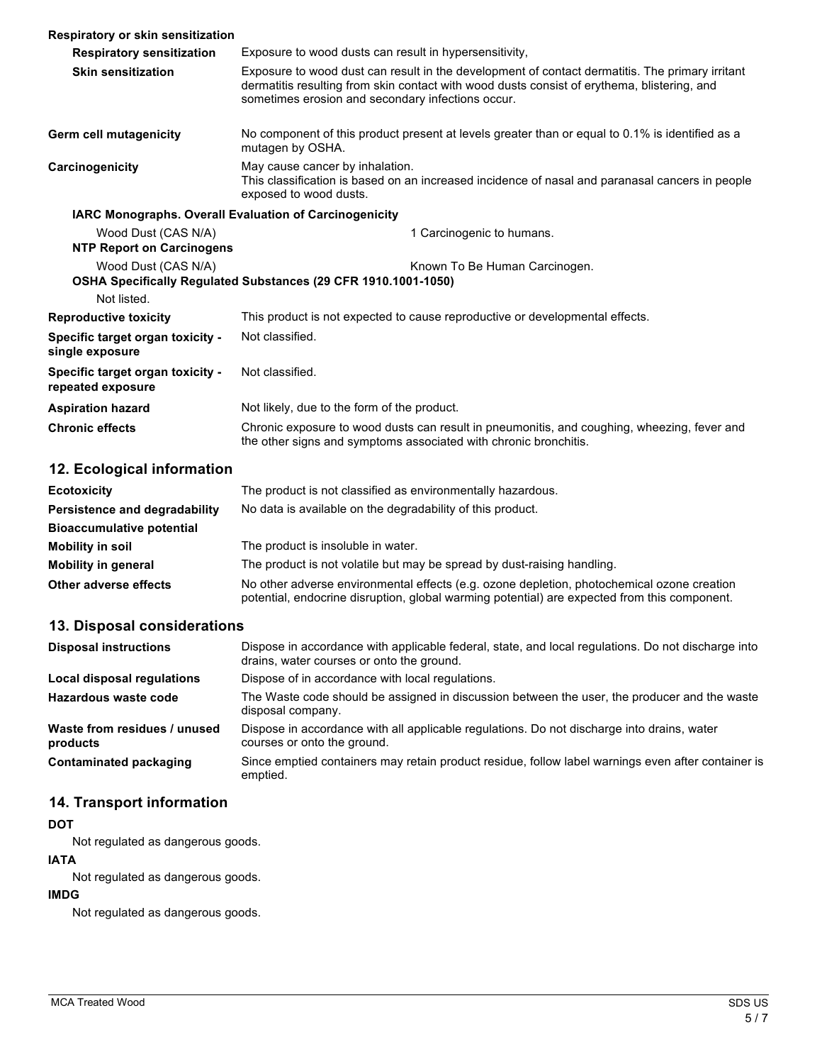| Respiratory or skin sensitization                       |                                                                                                                                                                                                                                                     |  |
|---------------------------------------------------------|-----------------------------------------------------------------------------------------------------------------------------------------------------------------------------------------------------------------------------------------------------|--|
| <b>Respiratory sensitization</b>                        | Exposure to wood dusts can result in hypersensitivity,                                                                                                                                                                                              |  |
| <b>Skin sensitization</b>                               | Exposure to wood dust can result in the development of contact dermatitis. The primary irritant<br>dermatitis resulting from skin contact with wood dusts consist of erythema, blistering, and<br>sometimes erosion and secondary infections occur. |  |
| Germ cell mutagenicity                                  | No component of this product present at levels greater than or equal to 0.1% is identified as a<br>mutagen by OSHA.                                                                                                                                 |  |
| Carcinogenicity                                         | May cause cancer by inhalation.<br>This classification is based on an increased incidence of nasal and paranasal cancers in people<br>exposed to wood dusts.                                                                                        |  |
| IARC Monographs. Overall Evaluation of Carcinogenicity  |                                                                                                                                                                                                                                                     |  |
| Wood Dust (CAS N/A)<br><b>NTP Report on Carcinogens</b> | 1 Carcinogenic to humans.                                                                                                                                                                                                                           |  |
| Wood Dust (CAS N/A)                                     | Known To Be Human Carcinogen.<br>OSHA Specifically Regulated Substances (29 CFR 1910.1001-1050)                                                                                                                                                     |  |
| Not listed.                                             |                                                                                                                                                                                                                                                     |  |
| <b>Reproductive toxicity</b>                            | This product is not expected to cause reproductive or developmental effects.                                                                                                                                                                        |  |
| Specific target organ toxicity -<br>single exposure     | Not classified.                                                                                                                                                                                                                                     |  |
| Specific target organ toxicity -<br>repeated exposure   | Not classified.                                                                                                                                                                                                                                     |  |
| <b>Aspiration hazard</b>                                | Not likely, due to the form of the product.                                                                                                                                                                                                         |  |
| <b>Chronic effects</b>                                  | Chronic exposure to wood dusts can result in pneumonitis, and coughing, wheezing, fever and<br>the other signs and symptoms associated with chronic bronchitis.                                                                                     |  |
|                                                         |                                                                                                                                                                                                                                                     |  |

### **12. Ecological information**

| <b>Ecotoxicity</b>               | The product is not classified as environmentally hazardous.                                                                                                                                |  |
|----------------------------------|--------------------------------------------------------------------------------------------------------------------------------------------------------------------------------------------|--|
| Persistence and degradability    | No data is available on the degradability of this product.                                                                                                                                 |  |
| <b>Bioaccumulative potential</b> |                                                                                                                                                                                            |  |
| <b>Mobility in soil</b>          | The product is insoluble in water.                                                                                                                                                         |  |
| <b>Mobility in general</b>       | The product is not volatile but may be spread by dust-raising handling.                                                                                                                    |  |
| Other adverse effects            | No other adverse environmental effects (e.g. ozone depletion, photochemical ozone creation<br>potential, endocrine disruption, global warming potential) are expected from this component. |  |

### **13. Disposal considerations**

| <b>Disposal instructions</b>             | Dispose in accordance with applicable federal, state, and local regulations. Do not discharge into<br>drains, water courses or onto the ground. |
|------------------------------------------|-------------------------------------------------------------------------------------------------------------------------------------------------|
| Local disposal regulations               | Dispose of in accordance with local regulations.                                                                                                |
| Hazardous waste code                     | The Waste code should be assigned in discussion between the user, the producer and the waste<br>disposal company.                               |
| Waste from residues / unused<br>products | Dispose in accordance with all applicable regulations. Do not discharge into drains, water<br>courses or onto the ground.                       |
| Contaminated packaging                   | Since emptied containers may retain product residue, follow label warnings even after container is<br>emptied.                                  |

### **14. Transport information**

#### **DOT**

Not regulated as dangerous goods.

#### **IATA**

Not regulated as dangerous goods.

### **IMDG**

Not regulated as dangerous goods.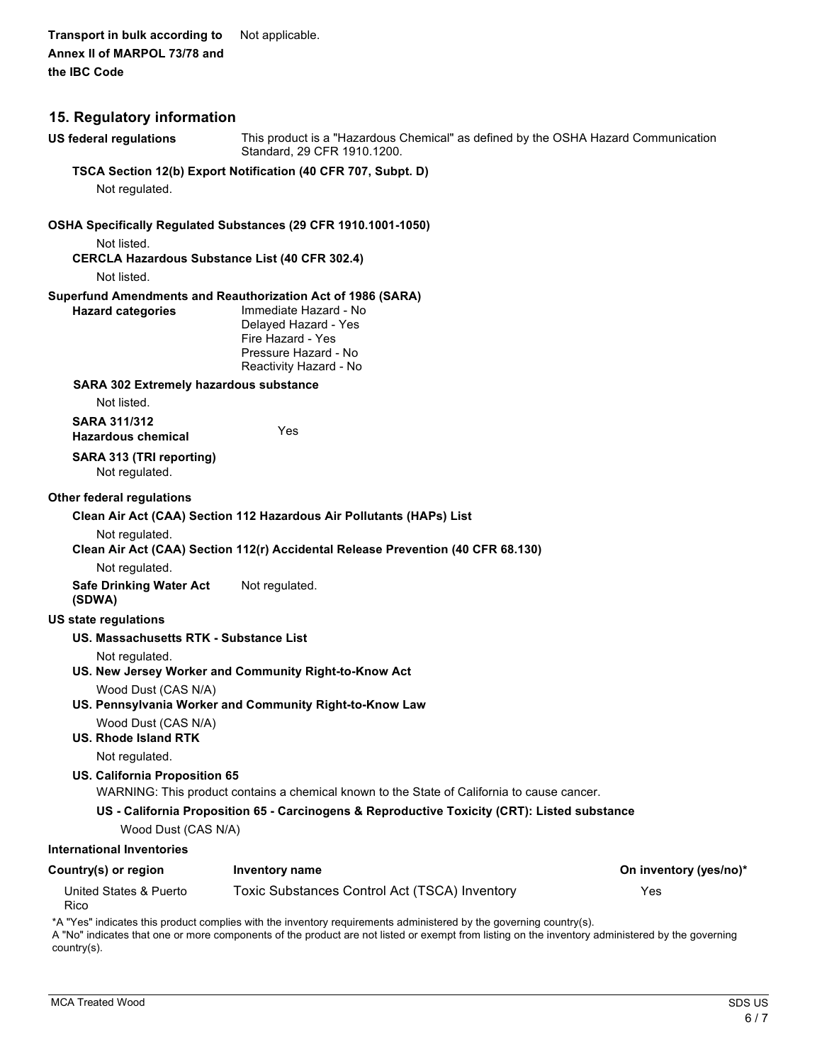**Transport in bulk according to** Not applicable. **Annex II of MARPOL 73/78 and the IBC Code**

| 15. Regulatory information                                           |                                                                                                                   |                        |
|----------------------------------------------------------------------|-------------------------------------------------------------------------------------------------------------------|------------------------|
| <b>US federal regulations</b>                                        | This product is a "Hazardous Chemical" as defined by the OSHA Hazard Communication<br>Standard, 29 CFR 1910.1200. |                        |
|                                                                      | TSCA Section 12(b) Export Notification (40 CFR 707, Subpt. D)                                                     |                        |
| Not regulated.                                                       |                                                                                                                   |                        |
|                                                                      | OSHA Specifically Regulated Substances (29 CFR 1910.1001-1050)                                                    |                        |
| Not listed.                                                          |                                                                                                                   |                        |
| <b>CERCLA Hazardous Substance List (40 CFR 302.4)</b><br>Not listed. |                                                                                                                   |                        |
|                                                                      | Superfund Amendments and Reauthorization Act of 1986 (SARA)                                                       |                        |
| <b>Hazard categories</b>                                             | Immediate Hazard - No<br>Delayed Hazard - Yes<br>Fire Hazard - Yes<br>Pressure Hazard - No                        |                        |
|                                                                      | Reactivity Hazard - No                                                                                            |                        |
| <b>SARA 302 Extremely hazardous substance</b><br>Not listed.         |                                                                                                                   |                        |
| <b>SARA 311/312</b><br><b>Hazardous chemical</b>                     | Yes                                                                                                               |                        |
| SARA 313 (TRI reporting)<br>Not regulated.                           |                                                                                                                   |                        |
| Other federal regulations                                            |                                                                                                                   |                        |
| Clean Air Act (CAA) Section 112 Hazardous Air Pollutants (HAPs) List |                                                                                                                   |                        |
| Not regulated.                                                       | Clean Air Act (CAA) Section 112(r) Accidental Release Prevention (40 CFR 68.130)                                  |                        |
| Not regulated.                                                       |                                                                                                                   |                        |
| <b>Safe Drinking Water Act</b><br>(SDWA)                             | Not regulated.                                                                                                    |                        |
| US state regulations                                                 |                                                                                                                   |                        |
| US. Massachusetts RTK - Substance List                               |                                                                                                                   |                        |
| Not regulated.                                                       | US. New Jersey Worker and Community Right-to-Know Act                                                             |                        |
| Wood Dust (CAS N/A)                                                  | US. Pennsylvania Worker and Community Right-to-Know Law                                                           |                        |
| Wood Dust (CAS N/A)<br><b>US. Rhode Island RTK</b>                   |                                                                                                                   |                        |
| Not regulated.                                                       |                                                                                                                   |                        |
| US. California Proposition 65                                        | WARNING: This product contains a chemical known to the State of California to cause cancer.                       |                        |
|                                                                      | US - California Proposition 65 - Carcinogens & Reproductive Toxicity (CRT): Listed substance                      |                        |
| Wood Dust (CAS N/A)                                                  |                                                                                                                   |                        |
| <b>International Inventories</b>                                     |                                                                                                                   |                        |
| Country(s) or region                                                 | <b>Inventory name</b>                                                                                             | On inventory (yes/no)* |
| United States & Puerto<br>Rico                                       | Toxic Substances Control Act (TSCA) Inventory                                                                     | Yes                    |
|                                                                      | *A "Yes" indicates this product complies with the inventory requirements administered by the governing country(s) |                        |

\*A "Yes" indicates this product complies with the inventory requirements administered by the governing country(s). A "No" indicates that one or more components of the product are not listed or exempt from listing on the inventory administered by the governing country(s).